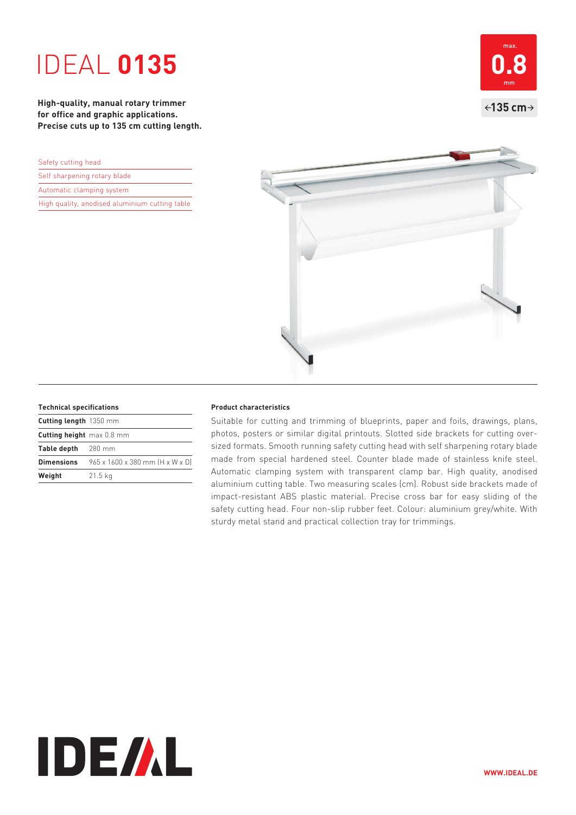# IDEAL **0135**

**High-quality, manual rotary trimmer for office and graphic applications. Precise cuts up to 135 cm cutting length.** 

| Safety cutting head                            |  |  |
|------------------------------------------------|--|--|
| Self sharpening rotary blade                   |  |  |
| Automatic clamping system                      |  |  |
| High quality, anodised aluminium cutting table |  |  |





#### **Technical specifications**

| Cutting length 1350 mm    |                                 |
|---------------------------|---------------------------------|
| Cutting height max 0.8 mm |                                 |
| Table depth 280 mm        |                                 |
| Dimensions                | 965 x 1600 x 380 mm [H x W x D] |
| Weight                    | $21.5$ kg                       |

### **Product characteristics**

Suitable for cutting and trimming of blueprints, paper and foils, drawings, plans, photos, posters or similar digital printouts. Slotted side brackets for cutting oversized formats. Smooth running safety cutting head with self sharpening rotary blade made from special hardened steel. Counter blade made of stainless knife steel. Automatic clamping system with transparent clamp bar. High quality, anodised aluminium cutting table. Two measuring scales (cm). Robust side brackets made of impact-resistant ABS plastic material. Precise cross bar for easy sliding of the safety cutting head. Four non-slip rubber feet. Colour: aluminium grey/white. With sturdy metal stand and practical collection tray for trimmings.